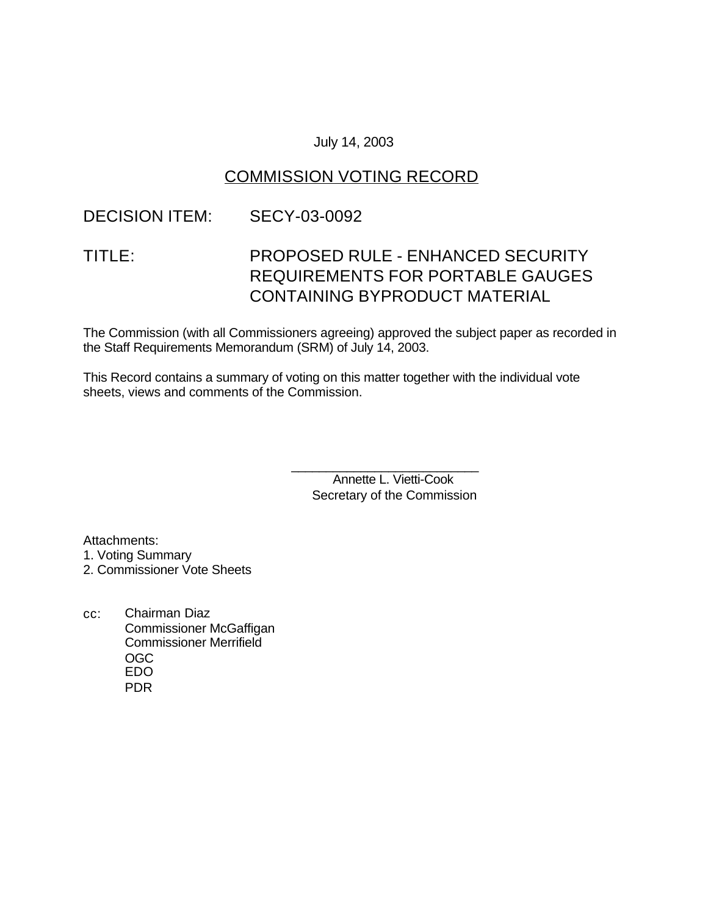#### July 14, 2003

## COMMISSION VOTING RECORD

### DECISION ITEM: SECY-03-0092

# TITLE: PROPOSED RULE - ENHANCED SECURITY REQUIREMENTS FOR PORTABLE GAUGES CONTAINING BYPRODUCT MATERIAL

The Commission (with all Commissioners agreeing) approved the subject paper as recorded in the Staff Requirements Memorandum (SRM) of July 14, 2003.

This Record contains a summary of voting on this matter together with the individual vote sheets, views and comments of the Commission.

> \_\_\_\_\_\_\_\_\_\_\_\_\_\_\_\_\_\_\_\_\_\_\_\_\_\_\_ Annette L. Vietti-Cook Secretary of the Commission

Attachments: 1. Voting Summary 2. Commissioner Vote Sheets

cc: Chairman Diaz Commissioner McGaffigan Commissioner Merrifield OGC EDO PDR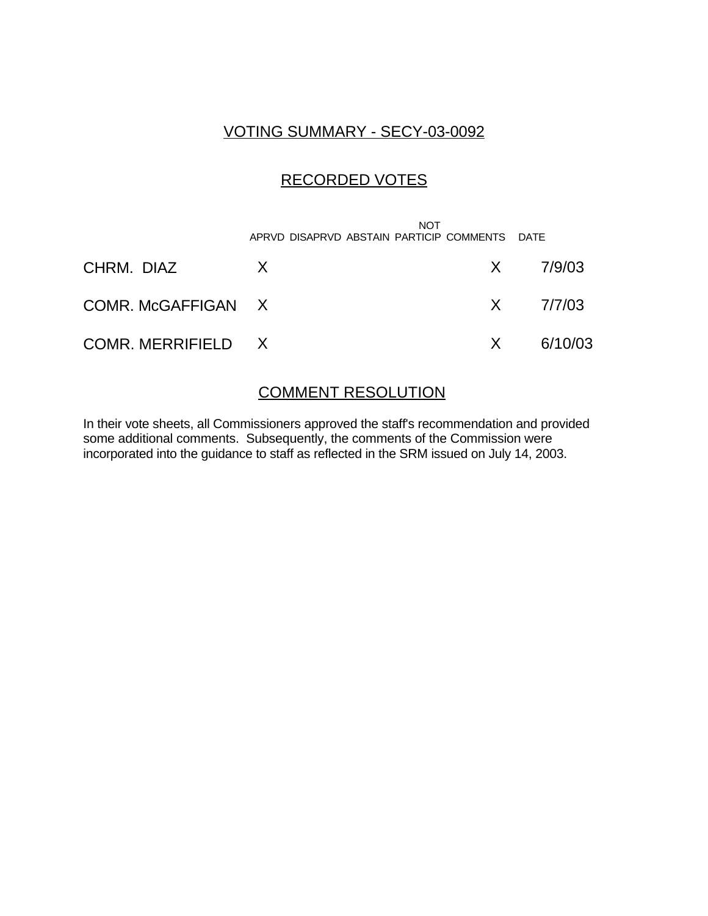## VOTING SUMMARY - SECY-03-0092

# RECORDED VOTES

|                    | <b>NOT</b><br>APRVD DISAPRVD ABSTAIN PARTICIP COMMENTS DATE |              |                            |
|--------------------|-------------------------------------------------------------|--------------|----------------------------|
| CHRM. DIAZ         | X                                                           |              | $X = \frac{7}{9} \times 3$ |
| COMR. McGAFFIGAN X |                                                             |              | $X = \frac{7}{7/03}$       |
| COMR. MERRIFIELD X |                                                             | $\mathsf{X}$ | 6/10/03                    |

### COMMENT RESOLUTION

In their vote sheets, all Commissioners approved the staff's recommendation and provided some additional comments. Subsequently, the comments of the Commission were incorporated into the guidance to staff as reflected in the SRM issued on July 14, 2003.